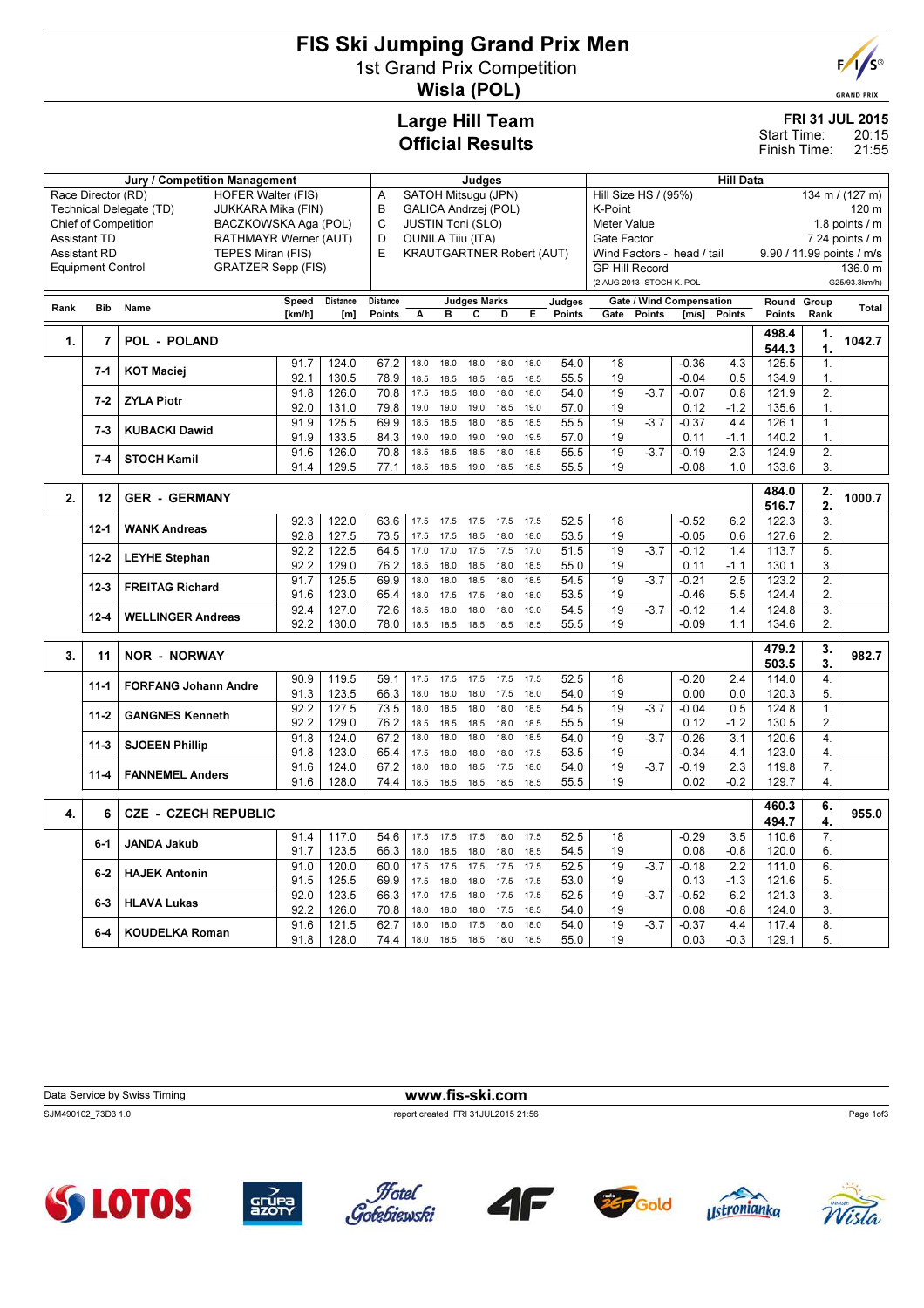## FIS Ski Jumping Grand Prix Men 1st Grand Prix Competition Wisla (POL)



**GRAND PRIX** 

## Large Hill Team Official Results

|                      | <b>FRI 31 JUL 2015</b> |
|----------------------|------------------------|
| $\ddot{\phantom{0}}$ |                        |

20:15 21:55 Start Time: Finish Time:

|      |                                                       | Judges                                        |                          |                                  |          |                             |      | <b>Hill Data</b>    |             |      |                          |                            |        |                                 |                     |                  |                |                 |  |
|------|-------------------------------------------------------|-----------------------------------------------|--------------------------|----------------------------------|----------|-----------------------------|------|---------------------|-------------|------|--------------------------|----------------------------|--------|---------------------------------|---------------------|------------------|----------------|-----------------|--|
|      | Race Director (RD)                                    | <b>HOFER Walter (FIS)</b>                     |                          |                                  | Α        | SATOH Mitsugu (JPN)         |      |                     |             |      |                          | Hill Size HS / (95%)       |        |                                 |                     |                  |                | 134 m / (127 m) |  |
|      |                                                       | Technical Delegate (TD)<br>JUKKARA Mika (FIN) |                          |                                  | B        | <b>GALICA Andrzej (POL)</b> |      |                     |             |      |                          | K-Point                    |        |                                 |                     |                  |                | 120 m           |  |
|      | <b>Chief of Competition</b>                           | BACZKOWSKA Aga (POL)                          |                          |                                  | C        | <b>JUSTIN Toni (SLO)</b>    |      |                     |             |      |                          | <b>Meter Value</b>         |        |                                 |                     | 1.8 points $/$ m |                |                 |  |
|      | Assistant TD                                          | D                                             | <b>OUNILA Tiju (ITA)</b> |                                  |          |                             |      |                     | Gate Factor |      |                          |                            |        |                                 | $7.24$ points $/ m$ |                  |                |                 |  |
|      | <b>Assistant RD</b>                                   | TEPES Miran (FIS)                             | E                        | <b>KRAUTGARTNER Robert (AUT)</b> |          |                             |      |                     |             |      |                          | Wind Factors - head / tail |        | 9.90 / 11.99 points / m/s       |                     |                  |                |                 |  |
|      | <b>GRATZER Sepp (FIS)</b><br><b>Equipment Control</b> |                                               |                          |                                  |          |                             |      |                     |             |      |                          | <b>GP Hill Record</b>      |        |                                 |                     |                  |                | 136.0 m         |  |
|      |                                                       |                                               |                          |                                  |          |                             |      |                     |             |      | (2 AUG 2013 STOCH K. POL |                            |        |                                 |                     |                  | G25/93.3km/h)  |                 |  |
| Rank | <b>Bib</b>                                            | Name                                          | Speed                    | Distance                         | Distance |                             |      | <b>Judges Marks</b> |             |      | Judges                   |                            |        | <b>Gate / Wind Compensation</b> |                     | Round Group      |                | <b>Total</b>    |  |
|      |                                                       |                                               | [km/h]                   | [m]                              | Points   | А                           | в    | С                   | D           | E.   | Points                   | Gate                       | Points | [m/s]                           | Points              | <b>Points</b>    | Rank           |                 |  |
| 1.   | 7                                                     | <b>POL - POLAND</b>                           |                          |                                  |          |                             |      |                     |             |      |                          |                            |        |                                 |                     | 498.4            | 1.             | 1042.7          |  |
|      |                                                       |                                               |                          |                                  |          |                             |      |                     |             |      |                          |                            |        |                                 |                     | 544.3            | 1.             |                 |  |
|      | $7 - 1$                                               | <b>KOT Maciej</b>                             | 91.7                     | 124.0                            | 67.2     | 18.0                        | 18.0 | 18.0                | 18.0        | 18.0 | 54.0                     | 18                         |        | $-0.36$                         | 4.3                 | 125.5            | 1.             |                 |  |
|      |                                                       |                                               | 92.1                     | 130.5                            | 78.9     | 18.5                        | 18.5 | 18.5                | 18.5        | 18.5 | 55.5                     | 19                         |        | $-0.04$                         | 0.5                 | 134.9            | 1.             |                 |  |
|      | $7 - 2$                                               | <b>ZYLA Piotr</b>                             | 91.8                     | 126.0                            | 70.8     | 17.5                        | 18.5 | 18.0                | 18.0        | 18.0 | 54.0                     | $\overline{19}$            | $-3.7$ | $-0.07$                         | 0.8                 | 121.9            | $\overline{2}$ |                 |  |
|      |                                                       |                                               | 92.0                     | 131.0                            | 79.8     | 19.0                        | 19.0 | 19.0                | 18.5        | 19.0 | 57.0                     | 19                         |        | 0.12                            | $-1.2$              | 135.6            | 1.             |                 |  |
|      | $7 - 3$                                               | <b>KUBACKI Dawid</b>                          | 91.9                     | 125.5                            | 69.9     | 18.5                        | 18.5 | 18.0                | 18.5        | 18.5 | 55.5                     | 19                         | $-3.7$ | $-0.37$                         | 4.4                 | 126.1            | 1.             |                 |  |
|      |                                                       |                                               | 91.9                     | 133.5                            | 84.3     | 19.0                        | 19.0 | 19.0                | 19.0        | 19.5 | 57.0                     | 19                         |        | 0.11                            | $-1.1$              | 140.2            | 1.             |                 |  |
|      | $7 - 4$                                               | <b>STOCH Kamil</b>                            | 91.6                     | 126.0                            | 70.8     | 18.5                        | 18.5 | 18.5                | 18.0        | 18.5 | 55.5                     | 19                         | $-3.7$ | $-0.19$                         | 2.3                 | 124.9            | $\overline{2}$ |                 |  |
|      |                                                       |                                               | 91.4                     | 129.5                            | 77.1     | 18.5                        | 18.5 | 19.0                | 18.5        | 18.5 | 55.5                     | 19                         |        | $-0.08$                         | 1.0                 | 133.6            | 3.             |                 |  |
|      |                                                       |                                               |                          |                                  |          |                             |      |                     |             |      |                          |                            |        |                                 |                     | 484.0            | 2.             |                 |  |
| 2.   | 12                                                    | <b>GER - GERMANY</b>                          |                          |                                  |          |                             |      |                     |             |      |                          |                            |        |                                 |                     | 516.7            | 2.             | 1000.7          |  |
|      | $12 - 1$                                              | <b>WANK Andreas</b>                           | 92.3                     | 122.0                            | 63.6     | 17.5                        | 17.5 | 17.5                | 17.5        | 17.5 | 52.5                     | 18                         |        | $-0.52$                         | 6.2                 | 122.3            | 3.             |                 |  |
|      |                                                       |                                               | 92.8                     | 127.5                            | 73.5     | 17.5                        | 17.5 | 18.5                | 18.0        | 18.0 | 53.5                     | 19                         |        | $-0.05$                         | 0.6                 | 127.6            | 2.             |                 |  |
|      | $12 - 2$                                              | <b>LEYHE Stephan</b>                          | 92.2                     | 122.5                            | 64.5     | 17.0                        | 17.0 | 17.5                | 17.5        | 17.0 | 51.5                     | 19                         | $-3.7$ | $-0.12$                         | 1.4                 | 113.7            | 5.             |                 |  |
|      |                                                       |                                               | 92.2                     | 129.0                            | 76.2     | 18.5                        | 18.0 | 18.5                | 18.0        | 18.5 | 55.0                     | 19                         |        | 0.11                            | $-1.1$              | 130.1            | 3.             |                 |  |
|      | $12 - 3$                                              | <b>FREITAG Richard</b>                        | 91.7                     | 125.5                            | 69.9     | 18.0                        | 18.0 | 18.5                | 18.0        | 18.5 | 54.5                     | 19                         | $-3.7$ | $-0.21$                         | 2.5                 | 123.2            | $\overline{2}$ |                 |  |
|      |                                                       |                                               | 91.6                     | 123.0                            | 65.4     | 18.0                        | 17.5 | 17.5                | 18.0        | 18.0 | 53.5                     | 19                         |        | $-0.46$                         | 5.5                 | 124.4            | $\overline{2}$ |                 |  |
|      | $12 - 4$                                              | <b>WELLINGER Andreas</b>                      | 92.4                     | 127.0                            | 72.6     | 18.5                        | 18.0 | 18.0                | 18.0        | 19.0 | 54.5                     | 19                         | $-3.7$ | $-0.12$                         | 1.4                 | 124.8            | 3.             |                 |  |
|      |                                                       |                                               | 92.2                     | 130.0                            | 78.0     | 18.5                        | 18.5 | 18.5                | 18.5        | 18.5 | 55.5                     | 19                         |        | $-0.09$                         | 1.1                 | 134.6            | 2.             |                 |  |
|      |                                                       | <b>NOR - NORWAY</b>                           |                          |                                  |          |                             |      |                     |             |      |                          |                            |        |                                 |                     | 479.2            | 3.             | 982.7           |  |
| 3.   | 11                                                    |                                               |                          |                                  |          |                             |      |                     |             |      |                          |                            |        |                                 |                     | 503.5            | 3.             |                 |  |
|      | $11 - 1$                                              | <b>FORFANG Johann Andre</b>                   | 90.9                     | 119.5                            | 59.1     | 17.5                        | 17.5 | 17.5                | 17.5        | 17.5 | 52.5                     | 18                         |        | $-0.20$                         | 2.4                 | 114.0            | 4.             |                 |  |
|      |                                                       |                                               | 91.3                     | 123.5                            | 66.3     | 18.0                        | 18.0 | 18.0                | 17.5        | 18.0 | 54.0                     | 19                         |        | 0.00                            | 0.0                 | 120.3            | 5.             |                 |  |
|      | $11 - 2$                                              | <b>GANGNES Kenneth</b>                        | 92.2                     | 127.5                            | 73.5     | 18.0                        | 18.5 | 18.0                | 18.0        | 18.5 | 54.5                     | 19                         | $-3.7$ | $-0.04$                         | 0.5                 | 124.8            | 1.             |                 |  |
|      |                                                       |                                               | 92.2                     | 129.0                            | 76.2     | 18.5                        | 18.5 | 18.5                | 18.0        | 18.5 | 55.5                     | 19                         |        | 0.12                            | $-1.2$              | 130.5            | 2.             |                 |  |
|      | $11 - 3$                                              | <b>SJOEEN Phillip</b>                         | 91.8                     | 124.0                            | 67.2     | 18.0                        | 18.0 | 18.0                | 18.0        | 18.5 | 54.0                     | 19                         | $-3.7$ | $-0.26$                         | 3.1                 | 120.6            | 4.             |                 |  |
|      |                                                       |                                               | 91.8                     | 123.0                            | 65.4     | 17.5                        | 18.0 | 18.0                | 18.0        | 17.5 | 53.5                     | 19                         |        | $-0.34$                         | 4.1                 | 123.0            | 4.             |                 |  |
|      | $11 - 4$                                              | <b>FANNEMEL Anders</b>                        | 91.6                     | 124.0                            | 67.2     | 18.0                        | 18.0 | 18.5                | 17.5        | 18.0 | 54.0                     | $\overline{19}$            | $-3.7$ | $-0.19$                         | 2.3                 | 119.8            | 7.             |                 |  |
|      |                                                       |                                               | 91.6                     | 128.0                            | 74.4     | 18.5                        | 18.5 | 18.5                | 18.5        | 18.5 | 55.5                     | 19                         |        | 0.02                            | $-0.2$              | 129.7            | 4.             |                 |  |
|      |                                                       |                                               |                          |                                  |          |                             |      |                     |             |      |                          |                            |        |                                 |                     | 460.3            | 6.             |                 |  |
| 4.   | 6                                                     | <b>CZE - CZECH REPUBLIC</b>                   |                          |                                  |          |                             |      |                     |             |      |                          |                            |        |                                 |                     | 494.7            | 4.             | 955.0           |  |
|      |                                                       |                                               | 91.4                     | 117.0                            | 54.6     | 17.5                        | 17.5 | 17.5                | 18.0        | 17.5 | 52.5                     | 18                         |        | $-0.29$                         | 3.5                 | 110.6            | 7.             |                 |  |
|      | $6 - 1$                                               | JANDA Jakub                                   | 91.7                     | 123.5                            | 66.3     | 18.0                        | 18.5 | 18.0                | 18.0        | 18.5 | 54.5                     | 19                         |        | 0.08                            | $-0.8$              | 120.0            | 6.             |                 |  |
|      |                                                       |                                               | 91.0                     | 120.0                            | 60.0     | 17.5                        | 17.5 | 17.5                | 17.5        | 17.5 | 52.5                     | 19                         | $-3.7$ | $-0.18$                         | 2.2                 | 111.0            | 6.             |                 |  |
|      | $6 - 2$                                               | <b>HAJEK Antonin</b>                          | 91.5                     | 125.5                            | 69.9     | 17.5                        | 18.0 | 18.0                | 17.5        | 17.5 | 53.0                     | 19                         |        | 0.13                            | $-1.3$              | 121.6            | 5.             |                 |  |
|      | 6-3                                                   | <b>HLAVA Lukas</b>                            | 92.0                     | 123.5                            | 66.3     | 17.0                        | 17.5 | 18.0                | 17.5        | 17.5 | 52.5                     | 19                         | $-3.7$ | $-0.52$                         | 6.2                 | 121.3            | 3.             |                 |  |
|      |                                                       |                                               | 92.2                     | 126.0                            | 70.8     | 18.0                        | 18.0 | 18.0                | 17.5        | 18.5 | 54.0                     | 19                         |        | 0.08                            | $-0.8$              | 124.0            | 3.             |                 |  |
|      | 6-4                                                   | <b>KOUDELKA Roman</b>                         | 91.6                     | 121.5                            | 62.7     | 18.0                        | 18.0 | 17.5                | 18.0        | 18.0 | 54.0                     | 19                         | $-3.7$ | $-0.37$                         | 4.4                 | 117.4            | 8.             |                 |  |
|      |                                                       |                                               | 91.8                     | 128.0                            | 74.4     | 18.0                        | 18.5 | 18.5                | 18.0        | 18.5 | 55.0                     | 19                         |        | 0.03                            | $-0.3$              | 129.1            | 5.             |                 |  |

Data Service by Swiss Timing **www.fis-ski.com** SJM490102\_73D3 1.0 report created FRI 31JUL2015 21:56 Page 1of3











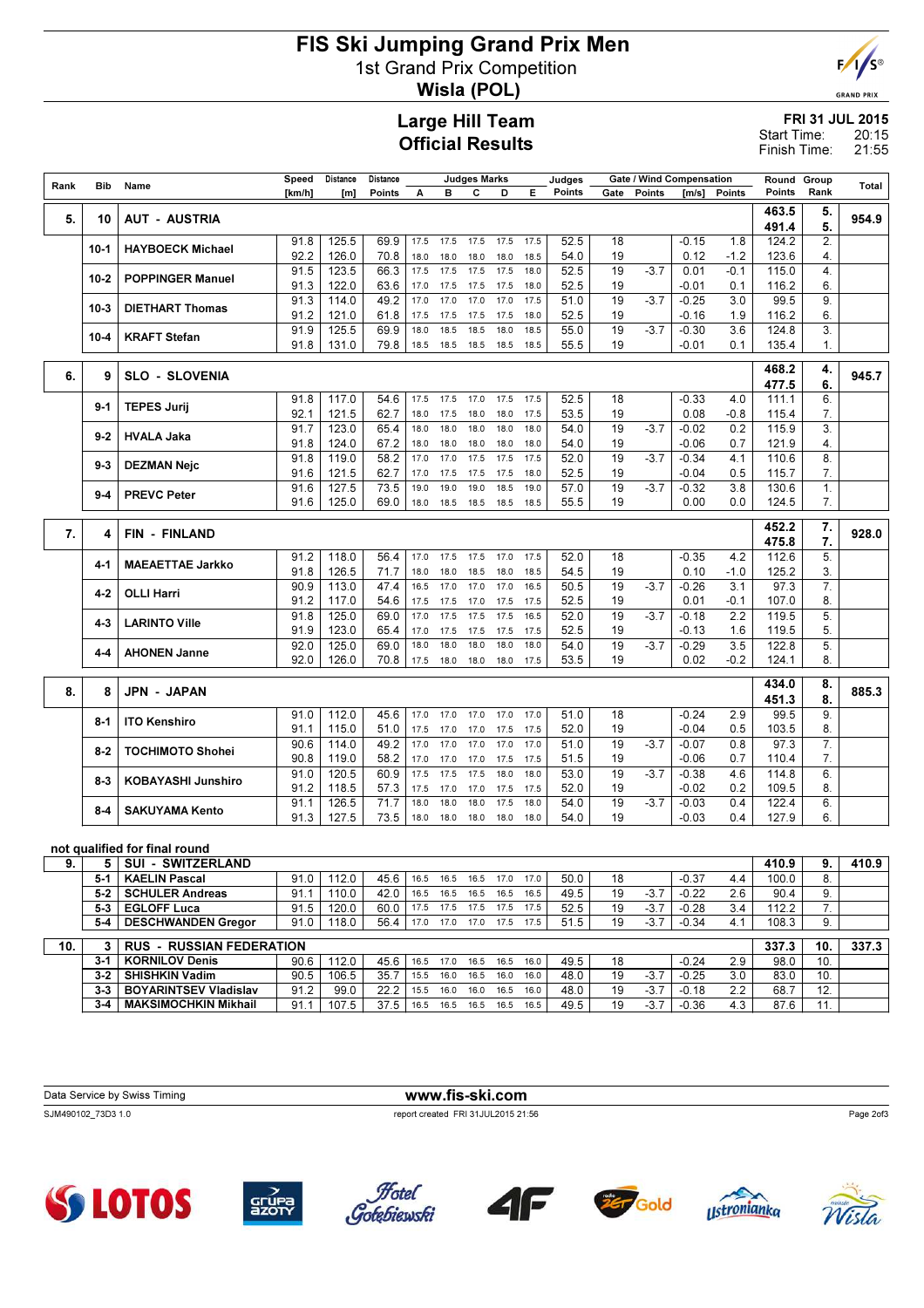## FIS Ski Jumping Grand Prix Men 1st Grand Prix Competition Wisla (POL)



**GRAND PRIX** 

### Large Hill Team Official Results

FRI 31 JUL 2015 20:15 Start Time:

21:55 Finish Time:

| Rank | Bib      | Name                          | Speed  | Distance | Distance |      |      | <b>Judges Marks</b> |      |      | Judges |      | Gate / Wind Compensation |         |        | Round Group |      | Total |
|------|----------|-------------------------------|--------|----------|----------|------|------|---------------------|------|------|--------|------|--------------------------|---------|--------|-------------|------|-------|
|      |          |                               | [km/h] | [m]      | Points   | A    | в    | с                   | D    | Е    | Points | Gate | Points                   | [m/s]   | Points | Points      | Rank |       |
| 5.   | 10       | <b>AUT - AUSTRIA</b>          |        |          |          |      |      |                     |      |      |        |      |                          |         |        | 463.5       | 5.   | 954.9 |
|      |          |                               |        |          |          |      |      |                     |      |      |        |      |                          |         |        | 491.4       | 5.   |       |
|      | $10 - 1$ | <b>HAYBOECK Michael</b>       | 91.8   | 125.5    | 69.9     | 17.5 | 17.5 | 17.5                | 17.5 | 17.5 | 52.5   | 18   |                          | $-0.15$ | 1.8    | 124.2       | 2.   |       |
|      |          |                               | 92.2   | 126.0    | 70.8     | 18.0 | 18.0 | 18.0                | 18.0 | 18.5 | 54.0   | 19   |                          | 0.12    | $-1.2$ | 123.6       | 4.   |       |
|      | $10 - 2$ | <b>POPPINGER Manuel</b>       | 91.5   | 123.5    | 66.3     | 17.5 | 17.5 | 17.5                | 17.5 | 18.0 | 52.5   | 19   | $-3.7$                   | 0.01    | $-0.1$ | 115.0       | 4.   |       |
|      |          |                               | 91.3   | 122.0    | 63.6     | 17.0 | 17.5 | 17.5                | 17.5 | 18.0 | 52.5   | 19   |                          | $-0.01$ | 0.1    | 116.2       | 6.   |       |
|      | $10-3$   | <b>DIETHART Thomas</b>        | 91.3   | 114.0    | 49.2     | 17.0 | 17.0 | 17.0                | 17.0 | 17.5 | 51.0   | 19   | $-3.7$                   | $-0.25$ | 3.0    | 99.5        | 9.   |       |
|      |          |                               | 91.2   | 121.0    | 61.8     | 17.5 | 17.5 | 17.5                | 17.5 | 18.0 | 52.5   | 19   |                          | -0.16   | 1.9    | 116.2       | 6.   |       |
|      | $10 - 4$ | <b>KRAFT Stefan</b>           | 91.9   | 125.5    | 69.9     | 18.0 | 18.5 | 18.5                | 18.0 | 18.5 | 55.0   | 19   | $-3.7$                   | $-0.30$ | 3.6    | 124.8       | 3.   |       |
|      |          |                               | 91.8   | 131.0    | 79.8     | 18.5 | 18.5 | 18.5                | 18.5 | 18.5 | 55.5   | 19   |                          | $-0.01$ | 0.1    | 135.4       | 1.   |       |
|      |          |                               |        |          |          |      |      |                     |      |      |        |      |                          |         |        | 468.2       | 4.   |       |
| 6.   | 9        | <b>SLO - SLOVENIA</b>         |        |          |          |      |      |                     |      |      |        |      |                          |         |        | 477.5       | 6.   | 945.7 |
|      |          |                               | 91.8   | 117.0    | 54.6     | 17.5 | 17.5 | 17.0                | 17.5 | 17.5 | 52.5   | 18   |                          | $-0.33$ | 4.0    | 111.1       | 6.   |       |
|      | $9-1$    | <b>TEPES Jurij</b>            | 92.1   | 121.5    | 62.7     | 18.0 | 17.5 | 18.0                | 18.0 | 17.5 | 53.5   | 19   |                          | 0.08    | $-0.8$ | 115.4       | 7.   |       |
|      |          |                               | 91.7   | 123.0    | 65.4     | 18.0 | 18.0 | 18.0                | 18.0 | 18.0 | 54.0   | 19   | $-3.7$                   | $-0.02$ | 0.2    | 115.9       | 3.   |       |
|      | $9 - 2$  | <b>HVALA Jaka</b>             | 91.8   | 124.0    | 67.2     | 18.0 | 18.0 | 18.0                | 18.0 | 18.0 | 54.0   | 19   |                          | $-0.06$ | 0.7    | 121.9       | 4.   |       |
|      |          |                               | 91.8   | 119.0    | 58.2     | 17.0 | 17.0 | 17.5                | 17.5 | 17.5 | 52.0   | 19   | $-3.7$                   | $-0.34$ | 4.1    | 110.6       | 8.   |       |
|      | $9-3$    | <b>DEZMAN Nejc</b>            | 91.6   | 121.5    | 62.7     | 17.0 | 17.5 | 17.5                | 17.5 | 18.0 | 52.5   | 19   |                          | -0.04   | 0.5    | 115.7       | 7.   |       |
|      | $9 - 4$  | <b>PREVC Peter</b>            | 91.6   | 127.5    | 73.5     | 19.0 | 19.0 | 19.0                | 18.5 | 19.0 | 57.0   | 19   | $-3.7$                   | $-0.32$ | 3.8    | 130.6       | 1.   |       |
|      |          |                               | 91.6   | 125.0    | 69.0     | 18.0 | 18.5 | 18.5                | 18.5 | 18.5 | 55.5   | 19   |                          | 0.00    | 0.0    | 124.5       | 7.   |       |
|      |          |                               |        |          |          |      |      |                     |      |      |        |      |                          |         |        | 452.2       | 7.   |       |
| 7.   | 4        | <b>FIN - FINLAND</b>          |        |          |          |      |      |                     |      |      |        |      |                          |         |        | 475.8       | 7.   | 928.0 |
|      |          |                               | 91.2   | 118.0    | 56.4     | 17.0 | 17.5 | 17.5                | 17.0 | 17.5 | 52.0   | 18   |                          | $-0.35$ | 4.2    | 112.6       | 5.   |       |
|      | 4-1      | <b>MAEAETTAE Jarkko</b>       | 91.8   | 126.5    | 71.7     | 18.0 | 18.0 | 18.5                | 18.0 | 18.5 | 54.5   | 19   |                          | 0.10    | $-1.0$ | 125.2       | 3.   |       |
|      |          |                               | 90.9   | 113.0    | 47.4     | 16.5 | 17.0 | 17.0                | 17.0 | 16.5 | 50.5   | 19   | $-3.7$                   | $-0.26$ | 3.1    | 97.3        | 7.   |       |
|      | $4-2$    | <b>OLLI Harri</b>             | 91.2   | 117.0    | 54.6     | 17.5 | 17.5 | 17.0                | 17.5 | 17.5 | 52.5   | 19   |                          | 0.01    | $-0.1$ | 107.0       | 8.   |       |
|      |          |                               | 91.8   | 125.0    | 69.0     | 17.0 | 17.5 | 17.5                | 17.5 | 16.5 | 52.0   | 19   | $-3.7$                   | $-0.18$ | 2.2    | 119.5       | 5.   |       |
|      | 4-3      | <b>LARINTO Ville</b>          | 91.9   | 123.0    | 65.4     | 17.0 | 17.5 | 17.5                | 17.5 | 17.5 | 52.5   | 19   |                          | $-0.13$ | 1.6    | 119.5       | 5.   |       |
|      | 4-4      | <b>AHONEN Janne</b>           | 92.0   | 125.0    | 69.0     | 18.0 | 18.0 | 18.0                | 18.0 | 18.0 | 54.0   | 19   | $-3.7$                   | $-0.29$ | 3.5    | 122.8       | 5.   |       |
|      |          |                               | 92.0   | 126.0    | 70.8     | 17.5 | 18.0 | 18.0                | 18.0 | 17.5 | 53.5   | 19   |                          | 0.02    | $-0.2$ | 124.1       | 8.   |       |
|      |          |                               |        |          |          |      |      |                     |      |      |        |      |                          |         |        | 434.0       | 8.   |       |
| 8.   | 8        | <b>JPN - JAPAN</b>            |        |          |          |      |      |                     |      |      |        |      |                          |         |        | 451.3       | 8.   | 885.3 |
|      |          |                               | 91.0   | 112.0    | 45.6     | 17.0 | 17.0 | 17.0                | 17.0 | 17.0 | 51.0   | 18   |                          | $-0.24$ | 2.9    | 99.5        | 9.   |       |
|      | $8-1$    | <b>ITO Kenshiro</b>           | 91.1   | 115.0    | 51.0     | 17.5 | 17.0 | 17.0                | 17.5 | 17.5 | 52.0   | 19   |                          | $-0.04$ | 0.5    | 103.5       | 8.   |       |
|      |          |                               | 90.6   | 114.0    | 49.2     | 17.0 | 17.0 | 17.0                | 17.0 | 17.0 | 51.0   | 19   | $-3.7$                   | $-0.07$ | 0.8    | 97.3        | 7.   |       |
|      | 8-2      | <b>TOCHIMOTO Shohei</b>       | 90.8   | 119.0    | 58.2     | 17.0 | 17.0 | 17.0                | 17.5 | 17.5 | 51.5   | 19   |                          | $-0.06$ | 0.7    | 110.4       | 7.   |       |
|      |          |                               | 91.0   | 120.5    | 60.9     | 17.5 | 17.5 | 17.5                | 18.0 | 18.0 | 53.0   | 19   | $-3.7$                   | $-0.38$ | 4.6    | 114.8       | 6.   |       |
|      | 8-3      | <b>KOBAYASHI Junshiro</b>     | 91.2   | 118.5    | 57.3     | 17.5 | 17.0 | 17.0                | 17.5 | 17.5 | 52.0   | 19   |                          | $-0.02$ | 0.2    | 109.5       | 8.   |       |
|      |          |                               | 91.1   | 126.5    | 71.7     | 18.0 | 18.0 | 18.0                | 17.5 | 18.0 | 54.0   | 19   | $-3.7$                   | $-0.03$ | 0.4    | 122.4       | 6.   |       |
|      | $8 - 4$  | <b>SAKUYAMA Kento</b>         | 91.3   | 127.5    | 73.5     | 18.0 | 18.0 | 18.0                | 18.0 | 18.0 | 54.0   | 19   |                          | $-0.03$ | 0.4    | 127.9       | 6.   |       |
|      |          |                               |        |          |          |      |      |                     |      |      |        |      |                          |         |        |             |      |       |
|      |          | not qualified for final round |        |          |          |      |      |                     |      |      |        |      |                          |         |        |             |      |       |
| 9.   | 5        | <b>SUI - SWITZERLAND</b>      |        |          |          |      |      |                     |      |      |        |      |                          |         |        | 410.9       | 9.   | 410.9 |

#### 5-1 KAELIN Pascal 91.0 112.0 45.6 16.5 16.5 16.5 17.0 17.0 50.0 18 -0.37 4.4 100.0 8.<br>5-2 SCHULER Andreas 91.1 110.0 42.0 16.5 16.5 16.5 16.5 16.5 19 -3.7 -0.22 2.6 90.4 9. 91.1 110.0 42.0 16.5 16.5 16.5 16.5 16.5 19 -3.7 -0.22 2.6 90.4 9.<br>91.5 120.0 60.0 17.5 17.5 17.5 17.5 17.5 52.5 19 -3.7 -0.28 3.4 112.2 7. 5-3 EGLOFF Luca 5-4 DESCHWANDEN Gregor | 91.0 | 118.0 | 56.4 | 17.0 17.0 17.0 17.5 17.5 | 51.5 | 19 -3.7 | -0.34 4.1 | 108.3 | 9. Г 10. 3 RUS - RUSSIAN FEDERATION 337.3 10. 337.3 10. 337.3 10. 337.3 10. 337.3 10. 337.3 10. 337.3 10. 337.3 10. 337.3 10. 337.3 10. 337.3 10. 337.3 10. 337.3 10. 337.3 10. 337.3 10. 337.3 10. 337.3 10. 337.3 10. 337.3 10. 3 3-1 KORNILOV Denis 90.6 112.0 45.6 16.5 17.0 16.5 16.5 16.0 49.5 18 -0.24 2.9 98.0 10.<br>3-2 SHISHKIN Vadim 90.5 106.5 35.7 15.5 16.0 16.5 16.0 16.0 48.0 19 -3.7 -0.25 3.0 83.0 10. 3-2 SHISHKIN Vadim 90.5 106.5 35.7 15.5 16.0 16.5 16.0 16.0 48.0 19 -3.7 -0.25 3.0 83.0 10. 3-3 BOYARINTSEV Vladislav 91.2 99.0 22.2 15.5 16.0 16.0 16.5 16.0 48.0 19 -3.7 -0.18 2.2 68.7 12.<br>3-4 MAKSIMOCHKIN Mikhail 91.1 107.5 37.5 16.5 16.5 16.5 16.5 16.5 49.5 19 -3.7 -0.36 4.3 87.6 11. 3-4 MAKSIMOCHKIN Mikhail 91.1 107.5 37.5 16.5 16.5 16.5 16.5 16.5 49.5 19 -3.7 -0.36 4.3 87.6 11.

| Data Service by Swiss Timing | www.fis-ski.com                    |           |
|------------------------------|------------------------------------|-----------|
| SJM490102 73D3 1.0           | report created FRI 31JUL2015 21:56 | Page 2of3 |